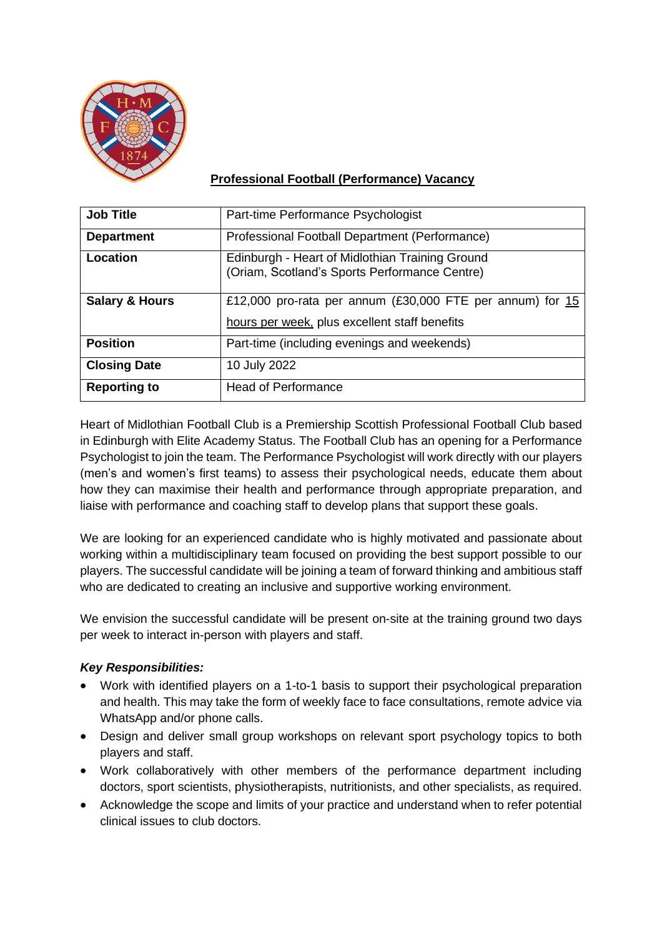

## **Professional Football (Performance) Vacancy**

| <b>Job Title</b>          | Part-time Performance Psychologist                                                                           |
|---------------------------|--------------------------------------------------------------------------------------------------------------|
| <b>Department</b>         | Professional Football Department (Performance)                                                               |
| Location                  | Edinburgh - Heart of Midlothian Training Ground<br>(Oriam, Scotland's Sports Performance Centre)             |
| <b>Salary &amp; Hours</b> | £12,000 pro-rata per annum (£30,000 FTE per annum) for $15$<br>hours per week, plus excellent staff benefits |
| <b>Position</b>           | Part-time (including evenings and weekends)                                                                  |
| <b>Closing Date</b>       | 10 July 2022                                                                                                 |
| <b>Reporting to</b>       | <b>Head of Performance</b>                                                                                   |

Heart of Midlothian Football Club is a Premiership Scottish Professional Football Club based in Edinburgh with Elite Academy Status. The Football Club has an opening for a Performance Psychologist to join the team. The Performance Psychologist will work directly with our players (men's and women's first teams) to assess their psychological needs, educate them about how they can maximise their health and performance through appropriate preparation, and liaise with performance and coaching staff to develop plans that support these goals.

We are looking for an experienced candidate who is highly motivated and passionate about working within a multidisciplinary team focused on providing the best support possible to our players. The successful candidate will be joining a team of forward thinking and ambitious staff who are dedicated to creating an inclusive and supportive working environment.

We envision the successful candidate will be present on-site at the training ground two days per week to interact in-person with players and staff.

### *Key Responsibilities:*

- Work with identified players on a 1-to-1 basis to support their psychological preparation and health. This may take the form of weekly face to face consultations, remote advice via WhatsApp and/or phone calls.
- Design and deliver small group workshops on relevant sport psychology topics to both players and staff.
- Work collaboratively with other members of the performance department including doctors, sport scientists, physiotherapists, nutritionists, and other specialists, as required.
- Acknowledge the scope and limits of your practice and understand when to refer potential clinical issues to club doctors.